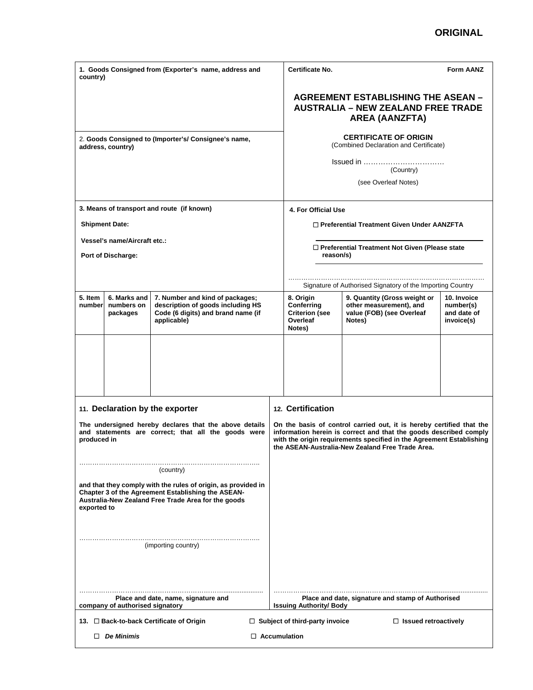## **ORIGINAL**

| 1. Goods Consigned from (Exporter's name, address and<br>country)                                                                                                                         |                                        |                                                                                                                           |  | <b>Certificate No.</b>                                                                                                                                                                                                                                                | <b>Form AANZ</b>                                                                               |                                                       |  |  |
|-------------------------------------------------------------------------------------------------------------------------------------------------------------------------------------------|----------------------------------------|---------------------------------------------------------------------------------------------------------------------------|--|-----------------------------------------------------------------------------------------------------------------------------------------------------------------------------------------------------------------------------------------------------------------------|------------------------------------------------------------------------------------------------|-------------------------------------------------------|--|--|
|                                                                                                                                                                                           |                                        |                                                                                                                           |  | <b>AGREEMENT ESTABLISHING THE ASEAN -</b><br><b>AUSTRALIA – NEW ZEALAND FREE TRADE</b><br><b>AREA (AANZFTA)</b>                                                                                                                                                       |                                                                                                |                                                       |  |  |
| 2. Goods Consigned to (Importer's/ Consignee's name,<br>address, country)                                                                                                                 |                                        |                                                                                                                           |  | <b>CERTIFICATE OF ORIGIN</b><br>(Combined Declaration and Certificate)                                                                                                                                                                                                |                                                                                                |                                                       |  |  |
|                                                                                                                                                                                           |                                        |                                                                                                                           |  | Issued in<br>(Country)                                                                                                                                                                                                                                                |                                                                                                |                                                       |  |  |
|                                                                                                                                                                                           |                                        |                                                                                                                           |  |                                                                                                                                                                                                                                                                       | (see Overleaf Notes)                                                                           |                                                       |  |  |
|                                                                                                                                                                                           |                                        | 3. Means of transport and route (if known)                                                                                |  | 4. For Official Use                                                                                                                                                                                                                                                   |                                                                                                |                                                       |  |  |
|                                                                                                                                                                                           | <b>Shipment Date:</b>                  |                                                                                                                           |  | □ Preferential Treatment Given Under AANZFTA                                                                                                                                                                                                                          |                                                                                                |                                                       |  |  |
| <b>Vessel's name/Aircraft etc.:</b><br><b>Port of Discharge:</b>                                                                                                                          |                                        |                                                                                                                           |  | □ Preferential Treatment Not Given (Please state<br>reason/s)                                                                                                                                                                                                         |                                                                                                |                                                       |  |  |
|                                                                                                                                                                                           |                                        |                                                                                                                           |  | Signature of Authorised Signatory of the Importing Country                                                                                                                                                                                                            |                                                                                                |                                                       |  |  |
| 5. Item<br>number                                                                                                                                                                         | 6. Marks and<br>numbers on<br>packages | 7. Number and kind of packages;<br>description of goods including HS<br>Code (6 digits) and brand name (if<br>applicable) |  | 8. Origin<br>Conferring<br><b>Criterion</b> (see<br>Overleaf<br>Notes)                                                                                                                                                                                                | 9. Quantity (Gross weight or<br>other measurement), and<br>value (FOB) (see Overleaf<br>Notes) | 10. Invoice<br>number(s)<br>and date of<br>invoice(s) |  |  |
|                                                                                                                                                                                           |                                        |                                                                                                                           |  |                                                                                                                                                                                                                                                                       |                                                                                                |                                                       |  |  |
|                                                                                                                                                                                           |                                        | 11. Declaration by the exporter                                                                                           |  | 12. Certification                                                                                                                                                                                                                                                     |                                                                                                |                                                       |  |  |
| The undersigned hereby declares that the above details<br>and statements are correct; that all the goods were<br>produced in                                                              |                                        |                                                                                                                           |  | On the basis of control carried out, it is hereby certified that the<br>information herein is correct and that the goods described comply<br>with the origin requirements specified in the Agreement Establishing<br>the ASEAN-Australia-New Zealand Free Trade Area. |                                                                                                |                                                       |  |  |
|                                                                                                                                                                                           |                                        | (country)                                                                                                                 |  |                                                                                                                                                                                                                                                                       |                                                                                                |                                                       |  |  |
| and that they comply with the rules of origin, as provided in<br>Chapter 3 of the Agreement Establishing the ASEAN-<br>Australia-New Zealand Free Trade Area for the goods<br>exported to |                                        |                                                                                                                           |  |                                                                                                                                                                                                                                                                       |                                                                                                |                                                       |  |  |
| (importing country)                                                                                                                                                                       |                                        |                                                                                                                           |  |                                                                                                                                                                                                                                                                       |                                                                                                |                                                       |  |  |
| Place and date, name, signature and<br>company of authorised signatory                                                                                                                    |                                        |                                                                                                                           |  | <b>Issuing Authority/ Body</b>                                                                                                                                                                                                                                        | Place and date, signature and stamp of Authorised                                              |                                                       |  |  |
| 13. □ Back-to-back Certificate of Origin<br>$\Box$ Subject of third-party invoice<br>$\Box$ Issued retroactively                                                                          |                                        |                                                                                                                           |  |                                                                                                                                                                                                                                                                       |                                                                                                |                                                       |  |  |
| $\Box$ De Minimis<br>$\Box$ Accumulation                                                                                                                                                  |                                        |                                                                                                                           |  |                                                                                                                                                                                                                                                                       |                                                                                                |                                                       |  |  |